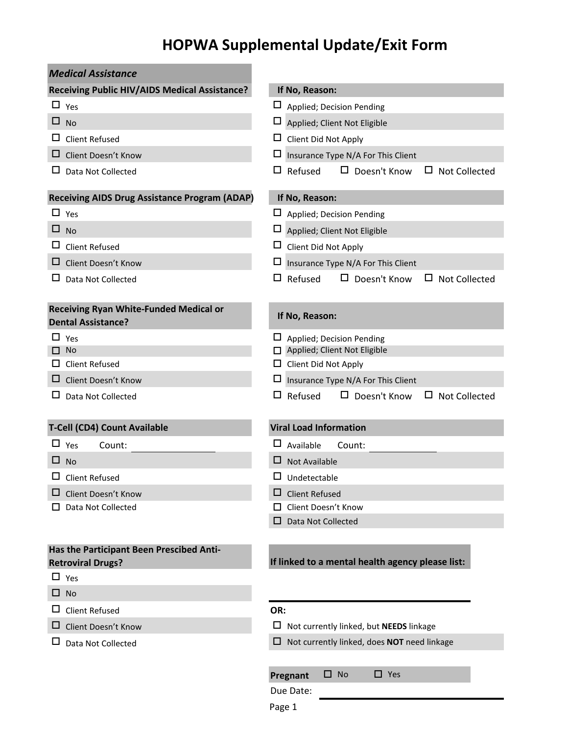# **HOPWA Supplemental Update/Exit Form**

| <b>Medical Assistance</b>                                            |                                                               |
|----------------------------------------------------------------------|---------------------------------------------------------------|
| Receiving Public HIV/AIDS Medical Assistance?                        | If No, Reason:                                                |
| $\Box$ Yes                                                           | Applied; Decision Pending                                     |
| □<br><b>No</b>                                                       | ப<br>Applied; Client Not Eligible                             |
| ப<br><b>Client Refused</b>                                           | ப<br>Client Did Not Apply                                     |
| ப<br>Client Doesn't Know                                             | $\Box$<br>Insurance Type N/A For This Client                  |
| Data Not Collected                                                   | Refused<br>$\Box$ Doesn't Know<br><b>Not Collected</b><br>ப   |
| <b>Receiving AIDS Drug Assistance Program (ADAP)</b>                 | If No, Reason:                                                |
| $\Box$ Yes                                                           | $\Box$ Applied; Decision Pending                              |
| $\Box$ No                                                            | $\Box$ Applied; Client Not Eligible                           |
| ப<br><b>Client Refused</b>                                           | $\Box$ Client Did Not Apply                                   |
| □<br>Client Doesn't Know                                             | $\Box$ Insurance Type N/A For This Client                     |
| Data Not Collected<br>ப                                              | $\Box$ Refused<br>$\Box$ Doesn't Know<br>$\Box$ Not Collected |
| Receiving Ryan White-Funded Medical or<br><b>Dental Assistance?</b>  | If No, Reason:                                                |
| ப<br>Yes                                                             | Applied; Decision Pending                                     |
| No                                                                   | Applied; Client Not Eligible                                  |
| <b>Client Refused</b><br>ப                                           | $\Box$ Client Did Not Apply                                   |
| Client Doesn't Know<br>ப                                             | Insurance Type N/A For This Client                            |
| Data Not Collected<br>ш                                              | $\Box$ Refused<br>$\Box$ Doesn't Know<br>$\Box$ Not Collected |
| T-Cell (CD4) Count Available                                         | <b>Viral Load Information</b>                                 |
| $\Box$ Yes<br>Count:                                                 | Available<br>Count:                                           |
| ப<br><b>No</b>                                                       | ⊔<br><b>Not Available</b>                                     |
| ப<br><b>Client Refused</b>                                           | Undetectable                                                  |
| Client Doesn't Know                                                  | □<br><b>Client Refused</b>                                    |
| Data Not Collected                                                   | Client Doesn't Know                                           |
|                                                                      | Data Not Collected                                            |
| Has the Participant Been Prescibed Anti-<br><b>Retroviral Drugs?</b> | If linked to a mental health agency please list:              |
| $\Box$ Yes                                                           |                                                               |
| $\Box$ No                                                            |                                                               |
| $\Box$<br><b>Client Refused</b>                                      | OR:                                                           |
| Client Doesn't Know<br>ப                                             | $\Box$ Not currently linked, but <b>NEEDS</b> linkage         |
| Data Not Collected                                                   | Not currently linked, does NOT need linkage<br>□.             |
|                                                                      | <b>No</b><br>$\Box$ Yes<br>□ .<br>Pregnant<br>Due Date:       |

Page 1